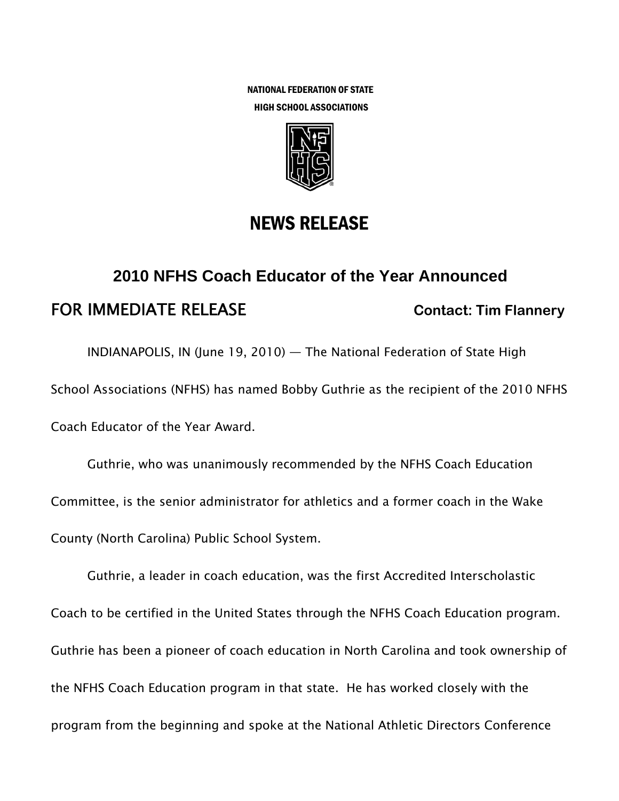NATIONAL FEDERATION OF STATE HIGH SCHOOL ASSOCIATIONS



## NEWS RELEASE

## **2010 NFHS Coach Educator of the Year Announced FOR IMMEDIATE RELEASE Contact: Tim Flannery**

INDIANAPOLIS, IN (June 19, 2010) — The National Federation of State High School Associations (NFHS) has named Bobby Guthrie as the recipient of the 2010 NFHS Coach Educator of the Year Award.

Guthrie, who was unanimously recommended by the NFHS Coach Education Committee, is the senior administrator for athletics and a former coach in the Wake County (North Carolina) Public School System.

Guthrie, a leader in coach education, was the first Accredited Interscholastic Coach to be certified in the United States through the NFHS Coach Education program. Guthrie has been a pioneer of coach education in North Carolina and took ownership of the NFHS Coach Education program in that state. He has worked closely with the program from the beginning and spoke at the National Athletic Directors Conference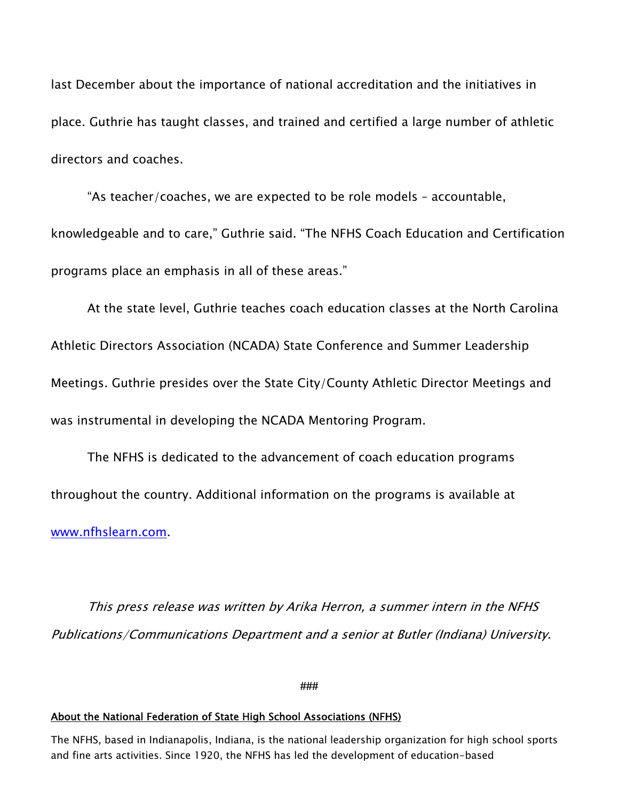last December about the importance of national accreditation and the initiatives in place. Guthrie has taught classes, and trained and certified a large number of athletic directors and coaches.

"As teacher/coaches, we are expected to be role models – accountable, knowledgeable and to care," Guthrie said. "The NFHS Coach Education and Certification programs place an emphasis in all of these areas."

At the state level, Guthrie teaches coach education classes at the North Carolina Athletic Directors Association (NCADA) State Conference and Summer Leadership Meetings. Guthrie presides over the State City/County Athletic Director Meetings and was instrumental in developing the NCADA Mentoring Program.

The NFHS is dedicated to the advancement of coach education programs throughout the country. Additional information on the programs is available at www.nfhslearn.com.

This press release was written by Arika Herron, a summer intern in the NFHS Publications/Communications Department and a senior at Butler (Indiana) University.

**###** 

## About the National Federation of State High School Associations (NFHS)

The NFHS, based in Indianapolis, Indiana, is the national leadership organization for high school sports and fine arts activities. Since 1920, the NFHS has led the development of education-based